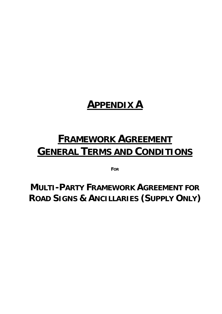# **APPENDIX A**

# **FRAMEWORK AGREEMENT GENERAL TERMS AND CONDITIONS**

**FOR**

**MULTI-PARTY FRAMEWORK AGREEMENT FOR ROAD SIGNS & ANCILLARIES (SUPPLY ONLY)**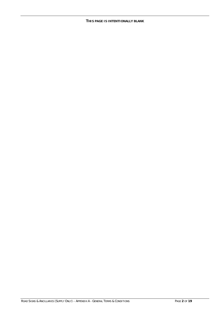# **THIS PAGE IS INTENTIONALLY BLANK**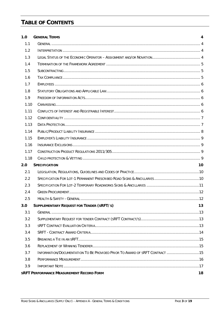# **TABLE OF CONTENTS**

| 1.0  | <b>GENERAL TERMS</b>                                                         | 4  |
|------|------------------------------------------------------------------------------|----|
| 1.1  |                                                                              |    |
| 1.2  |                                                                              |    |
| 1.3  |                                                                              |    |
| 1.4  |                                                                              |    |
| 1.5  |                                                                              |    |
| 1.6  |                                                                              |    |
| 1.7  |                                                                              |    |
| 1.8  |                                                                              |    |
| 1.9  |                                                                              |    |
| 1.10 |                                                                              |    |
| 1.11 |                                                                              |    |
| 1.12 |                                                                              |    |
| 1.13 |                                                                              |    |
| 1.14 |                                                                              |    |
| 1.15 |                                                                              |    |
| 1.16 |                                                                              |    |
| 1.17 |                                                                              |    |
| 1.18 |                                                                              |    |
| 2.0  | <b>SPECIFICATION</b>                                                         | 10 |
| 2.1  |                                                                              |    |
| 2.2  |                                                                              |    |
| 2.3  |                                                                              |    |
| 2.4  |                                                                              |    |
| 2.5  |                                                                              |    |
| 3.0  | <b>SUPPLEMENTARY REQUEST FOR TENDER (SRFT/S)</b>                             | 13 |
| 3.1  |                                                                              |    |
| 3.2  |                                                                              |    |
| 3.3  |                                                                              |    |
| 3.4  |                                                                              |    |
| 3.5  |                                                                              |    |
| 3.6  |                                                                              |    |
| 3.7  | INFORMATION/DOCUMENTATION TO BE PROVIDED PRIOR TO AWARD OF SRFT CONTRACT  15 |    |
| 3.8  |                                                                              |    |
| 3.9  |                                                                              |    |
|      | <b>SRFT PERFORMANCE MEASUREMENT RECORD FORM</b>                              | 18 |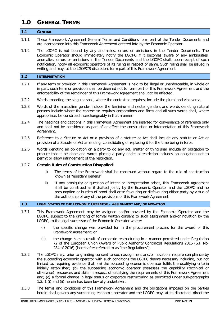# <span id="page-3-0"></span>**1.0 GENERAL TERMS**

# <span id="page-3-1"></span>**1.1 GENERAL**

- 1.1.1 These Framework Agreement General Terms and Conditions form part of the Tender Documents and are incorporated into this Framework Agreement entered into by the Economic Operator.
- 1.1.2 The LGOPC is not bound by any anomalies, errors or omissions in the Tender Documents. The Economic Operator should immediately notify the LGOPC if it becomes aware of any ambiguities, anomalies, errors or omissions in the Tender Documents and the LGOPC shall, upon receipt of such notification, notify all economic operators of its ruling in respect of same. Such ruling shall be issued in writing and may, at the LGOPC'S discretion, form part of this Framework Agreement.

# <span id="page-3-2"></span>**1.2 INTERPRETATION**

- 1.2.1 If any term or provision in this Framework Agreement is held to be illegal or unenforceable, in whole or in part, such term or provision shall be deemed not to form part of this Framework Agreement and the enforceability of the remainder of this Framework Agreement shall not be affected.
- 1.2.2 Words importing the singular shall, where the context so requires, include the plural and vice versa.
- 1.2.3 Words of the masculine gender include the feminine and neuter genders and words denoting natural persons include where the context so requires corporations and firms and all such words shall, where appropriate, be construed interchangeably in that manner.
- 1.2.4 The headings and captions in this Framework Agreement are inserted for convenience of reference only and shall not be considered as part of or affect the construction or interpretation of this Framework Agreement.
- 1.2.5 Reference to a Statute or Act or a provision of a statute or Act shall include any statute or Act or provision of a Statute or Act amending, consolidating or replacing it for the time being in force.
- 1.2.6 Words denoting an obligation on a party to do any act, matter or thing shall include an obligation to procure that it be done and words placing a party under a restriction includes an obligation not to permit or allow infringement of the restriction.

# 1.2.7 **Certain Rules of Construction Disapplied**:

- i) The terms of the Framework shall be construed without regard to the rule of construction known as "ejusdem generis".
- ii) If any ambiguity or question of intent or interpretation arises, this Framework Agreement shall be construed as if drafted jointly by the Economic Operator and the LGOPC and no presumption or burden of proof shall arise favouring or disfavouring either party by virtue of the authorship of any of the provisions of this Framework Agreement.

# <span id="page-3-3"></span>**1.3 LEGAL STATUS OF THE ECONOMIC OPERATOR – ASSIGNMENT AND/OR NOVATION**

- 1.3.1 This Framework Agreement may be assigned and/or novated by the Economic Operator and the LGOPC, subject to the granting of formal written consent to such assignment and/or novation by the LGOPC, to the legal successor of the Economic Operator where:
	- (i) the specific change was provided for in the procurement process for the award of this Framework Agreement; or
	- (ii) the change is as a result of corporate restructuring in a manner permitted under Regulation 72 of the European Union (Award of Public Authority Contracts) Regulations 2016 (S.I. No. 284 of 2016) (hereinafter referred to as "the Regulations").
- 1.3.2 The LGOPC may, prior to granting consent to such assignment and/or novation, require compliance by the succeeding economic operator with such conditions the LGOPC deems necessary including, but not limited to, requiring evidence that: (a) the succeeding economic operator fulfils the qualifying criteria initially established; (b) the succeeding economic operator possesses the capability (technical or otherwise), resources and skills in respect of satisfying the requirements of this Framework Agreement and; (c) a formal change in legal status or corporate restructuring as permitted under sub-paragraphs 1.3. 1 (i) and (ii) herein has been lawfully undertaken.
- 1.3.3 The terms and conditions of this Framework Agreement and the obligations imposed on the parties herein shall govern any succeeding economic operator and the LGOPC may, at its discretion, direct the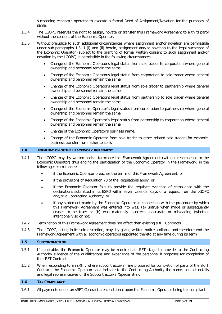succeeding economic operator to execute a formal Deed of Assignment/Novation for the purposes of same.

- 1.3.4 The LGOPC reserves the right to assign, novate or transfer this Framework Agreement to a third party without the consent of the Economic Operator.
- 1.3.5 Without prejudice to such additional circumstances where assignment and/or novation are permissible under sub-paragraphs 1.3. 1 (i) and (ii) herein, assignment and/or novation to the legal successor of the Economic Operator (subject to the granting of formal written consent to such assignment and/or novation by the LGOPC) is permissible in the following circumstances:
	- Change of the Economic Operator's legal status from sole trader to corporation where general ownership and personnel remain the same.
	- Change of the Economic Operator's legal status from corporation to sole trader where general ownership and personnel remain the same.
	- Change of the Economic Operator's legal status from sole trader to partnership where general ownership and personnel remain the same.
	- Change of the Economic Operator's legal status from partnership to sole trader where general ownership and personnel remain the same.
	- Change of the Economic Operator's legal status from corporation to partnership where general ownership and personnel remain the same.
	- Change of the Economic Operator's legal status from partnership to corporation where general ownership and personnel remain the same.
	- Change of the Economic Operator's business name.
	- Change of the Economic Operator from sole trader to other related sole trader (for example, business transfer from father to son).

# <span id="page-4-0"></span>**1.4 TERMINATION OF THE FRAMEWORK AGREEMENT**

- 1.4.1 The LGOPC may, by written notice, terminate this Framework Agreement (without recompense to the Economic Operator) thus ending the participation of the Economic Operator in the Framework, in the following circumstances:
	- if the Economic Operator breaches the terms of this Framework Agreement; or
	- if the provisions of Regulation 73 of the Regulations apply; or
	- if the Economic Operator fails to provide the requisite evidence of compliance with the declarations submitted in its ESPD within seven calendar days of a request from the LGOPC and/or a Contracting Authority; or
	- if any statement made by the Economic Operator in connection with the procedure by which this Framework Agreement was entered into was: (a) untrue when made or subsequently ceases to be true; or (b) was materially incorrect, inaccurate or misleading (whether intentionally so or not).
- 1.4.2 Termination of this Framework Agreement does not affect then existing sRFT Contracts.
- 1.4.3 The LGOPC, acting in its sole discretion, may, by giving written notice, collapse and therefore end the Framework Agreement with all economic operators appointed thereto at any time during its term.

#### <span id="page-4-1"></span>**1.5 SUBCONTRACTING**

- 1.5.1 If applicable, the Economic Operator may be required at sRFT stage to provide to the Contracting Authority evidence of the qualifications and experience of the personnel it proposes for completion of the sRFT Contract.
- 1.5.2 When responding to an sRFT, where subcontractor(s) are proposed for completion of parts of the sRFT Contract, the Economic Operator shall indicate to the Contracting Authority the name, contact details and legal representatives of the Subcontractor(s)/Specialist(s).

#### <span id="page-4-2"></span>**1.6 TAX COMPLIANCE**

1.6.1 All payments under an sRFT Contract are conditional upon the Economic Operator being tax compliant.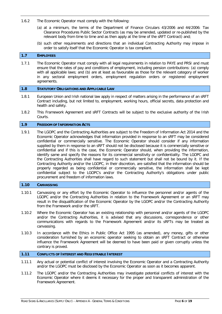- 1.6.2 The Economic Operator must comply with the following:
	- (a) at a minimum, the terms of the Department of Finance Circulars 43/2006 and 44/2006: Tax Clearance Procedures Public Sector Contracts (as may be amended, updated or re-published by the relevant body from time to time and as then apply at the time of the sRFT Contract) and;
	- (b) such other requirements and directions that an individual Contracting Authority may impose in order to satisfy itself that the Economic Operator is tax compliant.

#### <span id="page-5-0"></span>**1.7 EMPLOYEES**

1.7.1 The Economic Operator must comply with all legal requirements in relation to PAYE and PRSI and must ensure that the rates of pay and conditions of employment, including pension contributions: (a) comply with all applicable laws; and (b) are at least as favourable as those for the relevant category of worker in any sectoral employment orders, employment regulation orders or registered employment agreements.

## <span id="page-5-1"></span>**1.8 STATUTORY OBLIGATIONS AND APPLICABLE LAW**

- 1.8.1 European Union and Irish national law apply in respect of matters arising in the performance of an sRFT Contract including, but not limited to, employment, working hours, official secrets, data protection and health and safety.
- 1.8.2 This Framework Agreement and sRFT Contracts will be subject to the exclusive authority of the Irish Courts.

# <span id="page-5-2"></span>**1.9 FREEDOM OF INFORMATION ACTS**

1.9.1 The LGOPC and the Contracting Authorities are subject to the Freedom of Information Act 2014 and the Economic Operator acknowledges that information provided in response to an sRFT may be considered confidential or commercially sensitive. The Economic Operator should consider if any information supplied by them in response to an sRFT should not be disclosed because it is commercially sensitive or confidential and if this is the case, the Economic Operator should, when providing the information, identify same and specify the reasons for its commercial sensitivity or confidentiality. The LGOPC and the Contracting Authorities shall have regard to such statement but shall not be bound by it. If the Contracting Authority and/or the LGOPC, in their discretion, are satisfied that the information should be properly regarded as being confidential or commercially sensitive, the information shall be kept confidential subject to the LGOPC's and/or the Contracting Authority's obligations under public procurement and freedom of information laws.

#### <span id="page-5-3"></span>**1.10 CANVASSING**

- 1.10.1 Canvassing or any effort by the Economic Operator to influence the personnel and/or agents of the LGOPC and/or the Contracting Authorities in relation to the Framework Agreement or an sRFT may result in the disqualification of the Economic Operator by the LGOPC and/or the Contracting Authority from the Framework and/or the sRFT.
- 1.10.2 Where the Economic Operator has an existing relationship with personnel and/or agents of the LGOPC and/or the Contracting Authorities, it is advised that any discussions, correspondence or other communications with regards to the Framework Agreement and/or its sRFTs may be treated as canvassing.
- 1.10.3 In accordance with the Ethics in Public Office Act 1995 (as amended), any money, gifts or other consideration furnished by an economic operator seeking to obtain an sRFT Contract or otherwise influence the Framework Agreement will be deemed to have been paid or given corruptly unless the contrary is proved.

#### <span id="page-5-4"></span>**1.11 CONFLICTS OF INTEREST AND REGISTRABLE INTEREST**

- 1.11.1 Any actual or potential conflict of interest involving the Economic Operator and a Contracting Authority and/or the LGOPC must be disclosed by the Economic Operator as soon as it becomes apparent.
- 1.11.2 The LGOPC and/or the Contracting Authorities may investigate potential conflicts of interest with the Economic Operator where it deems it necessary for the proper and transparent administration of the Framework Agreement.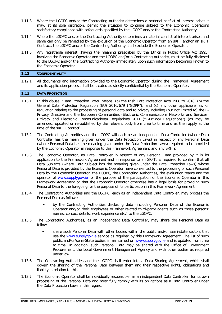- 1.11.3 Where the LGOPC and/or the Contracting Authority determines a material conflict of interest arises it may, at its sole discretion, permit the situation to continue subject to the Economic Operator's satisfactory compliance with safeguards specified by the LGOPC and/or the Contracting Authority.
- 1.11.4 Where the LGOPC and/or the Contracting Authority determines a material conflict of interest arises and same can only be remedied by the exclusion of the Economic Operator from an sRFT and/or an sRFT Contract, the LGOPC and/or the Contracting Authority shall exclude the Economic Operator.
- 1.11.5 Any registrable interest (having the meaning prescribed by the Ethics in Public Office Act 1995) involving the Economic Operator and the LGOPC and/or a Contracting Authority, must be fully disclosed to the LGOPC and/or the Contracting Authority immediately upon such information becoming known to the Economic Operator.

# <span id="page-6-0"></span>**1.12 CONFIDENTIALITY**

1.12.1 All documents and information provided to the Economic Operator during the Framework Agreement and its application process shall be treated as strictly confidential by the Economic Operator.

## <span id="page-6-1"></span>**1.13 DATA PROTECTION**

- 1.13.1 In this clause, "Data Protection Laws" means: (a) the Irish Data Protection Acts 1988 to 2018; (b) the General Data Protection Regulation (EU) 2016/679 ("GDPR"); and (c) any other applicable law or regulation relating to the processing of personal data and to privacy including (but not limited to) the E-Privacy Directive and the European Communities (Electronic Communications Networks and Services) (Privacy and Electronic Communications) Regulations 2011 ("E-Privacy Regulations") (as may be amended, updated or re-published by the relevant body from time to time and as then apply at the time of the sRFT Contract).
- 1.13.2 The Contracting Authorities and the LGOPC will each be an Independent Data Controller (where Data Controller has the meaning given under the Data Protection Laws) in respect of any Personal Data (where Personal Data has the meaning given under the Data Protection Laws) required to be provided by the Economic Operator in response to this Framework Agreement and any SRFTs.
- 1.13.3 The Economic Operator, as Data Controller in respect of any Personal Data provided by it in its application to the Framework Agreement and in response to an SRFT, is required to confirm that all Data Subjects (where Data Subject has the meaning given under the Data Protection Laws) whose Personal Data is provided by the Economic Operator have consented to the processing of such Personal Data by the Economic Operator, the LGOPC, the Contracting Authorities, the evaluation teams and the operator of [www.supplygov.ie](http://www.supplygov.ie/) for the purpose of the participation of the Economic Operator in this Framework Agreement or that the Economic Operator otherwise has a legal basis for providing such Personal Data to the foregoing for the purpose of its participation in this Framework Agreement.
- 1.13.4 The Contracting Authorities and the LGOPC, each as an independent Data Controller, may process the Personal Data as follows:
	- by the Contracting Authorities disclosing data (including Personal Data of the Economic Operator and/or their employees or other related third-party agents such as those persons' names, contact details, work experience etc.) to the LGOPC.
- 1.13.5 The Contracting Authorities, as an independent Data Controller, may share the Personal Data as follows:
	- share such Personal Data with other bodies within the public and/or semi-state sectors that use the [www.supplygov.ie](http://www.supplygov.ie/) service as required by this Framework Agreement. The list of such public and/or/semi-State bodies is maintained on [www.supplygov.ie](http://www.supplygov.ie/) and is updated from time to time. In addition, such Personal Data may be shared with the Office of Government Procurement, the Local Government Management Agency and with other bodies as required under law.
- 1.13.6 The Contracting Authorities and the LGOPC shall enter into a Data Sharing Agreement, which shall govern the sharing of the Personal Data between them and their respective rights, obligations and liability in relation to this.
- 1.13.7 The Economic Operator shall be individually responsible, as an independent Data Controller, for its own processing of the Personal Data and must fully comply with its obligations as a Data Controller under the Data Protection Laws in this regard.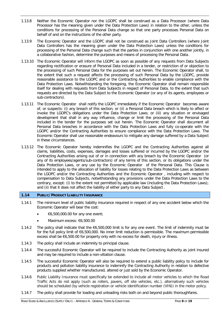- <span id="page-7-1"></span>1.13.8 Neither the Economic Operator nor the LGOPC shall be construed as a Data Processor (where Data Processor has the meaning given under the Data Protection Laws) in relation to the other, unless the conditions for processing of the Personal Data change so that one party processes Personal Data on behalf of and on the instructions of the other party.
- 1.13.9 The Economic Operator and the LGOPC shall not be construed as Joint Data Controllers (where Joint Data Controllers has the meaning given under the Data Protection Laws) unless the conditions for processing of the Personal Data change such that the parties in conjunction with one another jointly, in a collaborative fashion, determine the purposes and means of processing the Personal Data.
- 1.13.10 The Economic Operator will inform the LGOPC as soon as possible of any requests from Data Subjects regarding rectification or erasure of Personal Data included in a tender, or restriction of or objection to the processing of such Personal Data for the purposes set out herein. The Economic Operator shall, to the extent that such a request affects the processing of such Personal Data by the LGOPC, provide reasonable assistance to the LGOPC and or the Contracting Authorities to enable compliance with the Data Protection Laws. Notwithstanding the foregoing, the Economic Operator shall remain responsible itself for dealing with requests from Data Subjects in respect of Personal Data, to the extent that such requests are directed by the Data Subject to the Economic Operator (or any of its agents, employees or sub-contractors).
- 1.13.11 The Economic Operator shall notify the LGOPC immediately if the Economic Operator becomes aware of, or suspects: (i) any breach of this section; or (ii) a Personal Data breach which is likely to affect or invoke the LGOPC's obligations under the Data Protection Laws; or (iii) any situation or envisaged development that shall in any way influence, change or limit the processing of the Personal Data included in the tender for the purposes set out herein. The Economic Operator shall document all Personal Data breaches in accordance with the Data Protection Laws and fully co-operate with the LGOPC and/or the Contracting Authorities to ensure compliance with the Data Protection Laws. The Economic Operator shall use reasonable endeavours to mitigate any damage suffered by a Data Subject in these circumstances.
- 1.13.12 The Economic Operator hereby indemnifies the LGOPC and the Contracting Authorities against all claims, liabilities, costs, expenses, damages and losses suffered or incurred by the LGOPC and/or the Contracting Authorities arising out of or in connection with any breach by the Economic Operator (or any of its employees/agents/sub-contractors) of any terms of this section, or its obligations under the Data Protection Laws, or any use by the Economic Operator of the Personal Data. This Clause is intended to apply to the allocation of liability for losses relating to the Data Protection Laws as between the LGOPC and/or the Contracting Authorities and the Economic Operator , including with respect to compensation to Data Subjects, notwithstanding any provisions under the Data Protection Laws to the contrary, except: (i) to the extent not permitted by applicable law (including the Data Protection Laws); and (ii) that it does not affect the liability of either party to any Data Subject .

# <span id="page-7-0"></span>**1.14 PUBLIC/PRODUCT LIABILITY INSURANCE**

- 1.14.1 The minimum level of public liability insurance required in respect of any one accident below which the Economic Operator will bear the cost:
	- €6,500,000.00 for any one event;
	- Maximum excess: €6,500.00
- 1.14.2 The policy shall indicate that the €6,500,000 limit is for any one event. The limit of indemnity must be for the full policy limit of €6,500,000. No inner limit reduction is permissible. The maximum permissible excess shall be €6,500.00 for property only with no excess for death, injury or illness.
- 1.14.3 The policy shall include an indemnity to principal clause.
- 1.14.4 The successful Economic Operator will be required to include the Contracting Authority as joint insured and may be required to include a non-vitiation clause.
- 1.14.5 The successful Economic Operator will also be required to extend a public liability policy to include for products and pollution liability insurance to indemnify the Contracting Authority in relation to defective products supplied whether manufactured, altered or just sold by the Economic Operator.
- 1.14.6 Public Liability Insurance must specifically be extended to include all motor vehicles to which the Road Traffic Acts do not apply (such as rollers, pavers, off site vehicles, etc.), alternatively such vehicles should be scheduled (by vehicle registration or vehicle identification number (VIN)) in the motor policy.
- 1.14.7 The policy shall provide for loading and unloading risks both on and beyond public thoroughfares.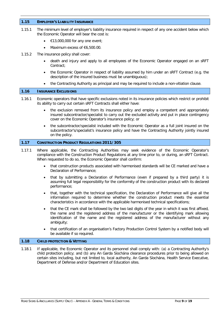## **1.15 EMPLOYER'S LIABILITY INSURANCE**

- 1.15.1 The minimum level of employer's liability insurance required in respect of any one accident below which the Economic Operator will bear the cost is:
	- €13,000,000 for any one event;
	- Maximum excess of €6,500.00.
- 1.15.2 The insurance policy shall cover:
	- death and injury and apply to all employees of the Economic Operator engaged on an sRFT Contract;
	- the Economic Operator in respect of liability assumed by him under an sRFT Contract (e.g. the description of the insured business must be unambiguous);
	- the Contracting Authority as principal and may be required to include a non-vitiation clause.

#### <span id="page-8-0"></span>**1.16 INSURANCE EXCLUSIONS**

- 1.16.1 Economic operators that have specific exclusions noted in its insurance policies which restrict or prohibit its ability to carry out certain sRFT Contracts shall either have:
	- the exclusion removed from its insurance policy and employ a competent and appropriately insured subcontractor/specialist to carry out the excluded activity and put in place contingency cover on the Economic Operator's insurance policy; or
	- the subcontractor/specialist included with the Economic Operator as a full joint insured on the subcontractor's/specialist's insurance policy and have the Contracting Authority jointly insured on the policy.

#### <span id="page-8-1"></span>**1.17 CONSTRUCTION PRODUCT REGULATIONS 2011/305**

- 1.17.1 Where applicable, the Contracting Authorities may seek evidence of the Economic Operator's compliance with the Construction Product Regulations at any time prior to, or during, an sRFT Contract. When requested to do so, the Economic Operator shall confirm:
	- that construction products associated with harmonised standards will be CE marked and have a Declaration of Performance;
	- that by submitting a Declaration of Performance (even if prepared by a third party) it is assuming full legal responsibility for the conformity of the construction product with its declared performance;
	- that, together with the technical specification, the Declaration of Performance will give all the information required to determine whether the construction product meets the essential characteristics in accordance with the applicable harmonised technical specifications;
	- that the CE mark shall be followed by the two last digits of the year in which it was first affixed, the name and the registered address of the manufacturer or the identifying mark allowing identification of the name and the registered address of the manufacturer without any ambiguity;
	- that certification of an organisation's Factory Production Control System by a notified body will be available if so required.

## <span id="page-8-2"></span>**1.18 CHILD PROTECTION & VETTING**

1.18.1 If applicable, the Economic Operator and its personnel shall comply with: (a) a Contracting Authority's child protection policy; and (b) any An Garda Síochána clearance procedures prior to being allowed on certain sites including, but not limited to, local authority, An Garda Síochána, Health Service Executive, Department of Defense and/or Department of Education sites.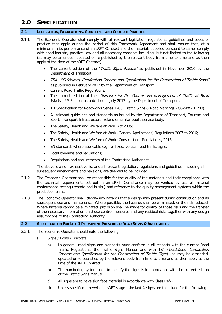# <span id="page-9-0"></span>**2.0 SPECIFICATION**

# <span id="page-9-1"></span>**2.1 LEGISLATION, REGULATIONS, GUIDELINES AND CODES OF PRACTICE**

- 2.1.1 The Economic Operator shall comply with all relevant legislation, regulations, guidelines and codes of practice that apply during the period of this Framework Agreement and shall ensure that, at a minimum, in its performance of an sRFT Contract and the materials supplied pursuant to same, comply with good industry practice, law and all necessary consents including, but not limited to the following (as may be amended, updated or re-published by the relevant body from time to time and as then apply at the time of the sRFT Contract):
	- The current edition of the "*Traffic Signs Manual"* as published in November 2010 by the Department of Transport;
	- TS4 "Guidelines, Certification Scheme and Specification for the Construction of Traffic Signs" as published in February 2012 by the Department of Transport;
	- Current Road Traffic Regulations;
	- The current edition of the "Guidance for the Control and Management of Traffic at Road Works", 2<sup>nd</sup> Edition, as published in July 2013 by the Department of Transport;
	- TII Specification for Roadworks Series 1200 (Traffic Signs & Road Markings CC-SPW-01200);
	- All relevant guidelines and standards as issued by the Department of Transport, Tourism and Sport; Transport Infrastructure Ireland or similar public service body.
	- The Safety, Health and Welfare at Work Act 2005;
	- The Safety, Health and Welfare at Work (General Applications) Regulations 2007 to 2016;
	- The Safety, Health and Welfare of Work (Construction) Regulations, 2013;
	- EN standards where applicable e.g. for fixed, vertical road traffic signs;
	- Local bye-laws and regulations;
	- Regulations and requirements of the Contracting Authorities.

The above is a non-exhaustive list and all relevant legislation, regulations and guidelines, including all subsequent amendments and revisions, are deemed to be included.

- 2.1.2 The Economic Operator shall be responsible for the quality of the materials and their compliance with the technical requirements set out in an sRFT. Compliance may be verified by use of material conformance testing (remote and in-situ) and reference to the quality management systems within the production plant.
- 2.1.3 The Economic Operator shall identify any hazards that a design may present during construction and its subsequent use and maintenance. Where possible, the hazards shall be eliminated, or the risk reduced. Where hazards cannot be eliminated, provision shall be made for control of those risks and the transfer of the necessary information on those control measures and any residual risks together with any design assumptions to the Contracting Authority.

# <span id="page-9-2"></span>**2.2 SPECIFICATION FOR LOT-1 PERMANENT PRESCRIBED ROAD SIGNS & ANCILLARIES**

- 2.2.1 The Economic Operator should note the following:
	- (i) Signs / Posts / Brackets
		- a) In general, road signs and signposts must conform in all respects with the current Road Traffic Regulations, the Traffic Signs Manual and with TS4 (Guidelines, Certification Scheme and Specification for the Construction of Traffic Signs) (as may be amended, updated or re-published by the relevant body from time to time and as then apply at the time of the sRFT Contract).
		- b) The numbering system used to identify the signs is in accordance with the current edition of the Traffic Signs Manual.
		- c) All signs are to have sign face material in accordance with Class Ref-2.
		- d) Unless specified otherwise at sRFT stage the **Lot-1** signs are to include for the following: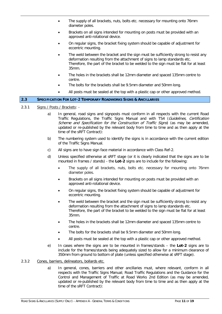- The supply of all brackets, nuts, bolts etc. necessary for mounting onto 76mm diameter poles.
- Brackets on all signs intended for mounting on posts must be provided with an approved anti-rotational device.
- On regular signs, the bracket fixing system should be capable of adjustment for eccentric mounting.
- The weld between the bracket and the sign must be sufficiently strong to resist any deformation resulting from the attachment of signs to lamp standards etc. Therefore, the part of the bracket to be welded to the sign must be flat for at least 35mm.
- The holes in the brackets shall be 12mm diameter and spaced 135mm centre to centre.
- The bolts for the brackets shall be 9.5mm diameter and 50mm long.
- All posts must be sealed at the top with a plastic cap or other approved method.

## <span id="page-10-0"></span>**2.3 SPECIFICATION FOR LOT-2 TEMPORARY ROADWORKS SIGNS & ANCILLARIES**

#### 2.3.1 Signs / Posts / Brackets: -

- a) In general, road signs and signposts must conform in all respects with the current Road Traffic Regulations, the Traffic Signs Manual and with TS4 (Guidelines, Certification Scheme and Specification for the Construction of Traffic Signs) (as may be amended, updated or re-published by the relevant body from time to time and as then apply at the time of the sRFT Contract):
- b) The numbering system used to identify the signs is in accordance with the current edition of the Traffic Signs Manual.
- c) All signs are to have sign face material in accordance with Class Ref-2.
- d) Unless specified otherwise at sRFT stage (or it is clearly indicated that the signs are to be mounted in frames / stands) - the **Lot-2** signs are to include for the following:
	- The supply of all brackets, nuts, bolts etc. necessary for mounting onto 76mm diameter poles.
	- Brackets on all signs intended for mounting on posts must be provided with an approved anti-rotational device.
	- On regular signs, the bracket fixing system should be capable of adjustment for eccentric mounting.
	- The weld between the bracket and the sign must be sufficiently strong to resist any deformation resulting from the attachment of signs to lamp standards etc. Therefore, the part of the bracket to be welded to the sign must be flat for at least 35mm.
	- The holes in the brackets shall be 12mm diameter and spaced 135mm centre to centre.
	- The bolts for the brackets shall be 9.5mm diameter and 50mm long.
	- All posts must be sealed at the top with a plastic cap or other approved method.
- e) In cases where the signs are to be mounted in frames/stands the **Lot-2** signs are to include for the frames/stands being adequately sized to allow for a minimum clearance of 350mm from ground to bottom of plate (unless specified otherwise at sRFT stage).

#### 2.3.2 Cones, barriers, delineators, bollards etc.

a) In general, cones, barriers and other ancillaries must, where relevant, conform in all respects with the Traffic Signs Manual; Road Traffic Regulations and the Guidance for the Control and Management of Traffic at Road Works 2nd Edition (as may be amended, updated or re-published by the relevant body from time to time and as then apply at the time of the sRFT Contract):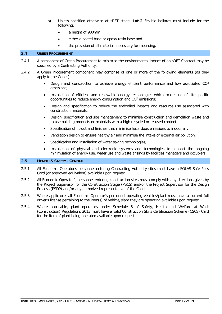- b) Unless specified otherwise at sRFT stage, **Lot-2** flexible bollards must include for the following:
	- a height of 900mm
	- either a bolted base or epoxy resin base and
	- the provision of all materials necessary for mounting.

#### <span id="page-11-0"></span>**2.4 GREEN PROCUREMENT**

- 2.4.1 A component of Green Procurement to minimise the environmental impact of an sRFT Contract may be specified by a Contracting Authority.
- 2.4.2 A Green Procurement component may comprise of one or more of the following elements (as they apply to the Goods):
	- Design and construction to achieve energy efficient performance and low associated  $CO<sup>2</sup>$ emissions;
	- Installation of efficient and renewable energy technologies which make use of site-specific opportunities to reduce energy consumption and  $CO<sup>2</sup>$  emissions;
	- Design and specification to reduce the embodied impacts and resource use associated with construction materials;
	- Design, specification and site management to minimise construction and demolition waste and to use building products or materials with a high recycled or re-used content;
	- Specification of fit-out and finishes that minimise hazardous emissions to indoor air;
	- Ventilation design to ensure healthy air and minimise the intake of external air pollution;
	- Specification and installation of water saving technologies;
	- Installation of physical and electronic systems and technologies to support the ongoing minimisation of energy use, water use and waste arisings by facilities managers and occupiers.

## <span id="page-11-1"></span>**2.5 HEALTH & SAFETY - GENERAL**

- 2.5.1 All Economic Operator's personnel entering Contracting Authority sites must have a SOLAS Safe Pass Card (or approved equivalent) available upon request.
- 2.5.2 All Economic Operator's personnel entering construction sites must comply with any directions given by the Project Supervisor for the Construction Stage (PSCS) and/or the Project Supervisor for the Design Process (PSDP) and/or any authorized representative of the Client.
- 2.5.3 Where applicable, all Economic Operator's personnel operating vehicles/plant must have a current full driver's license pertaining to the item(s) of vehicle/plant they are operating available upon request.
- 2.5.4 Where applicable, plant operators under Schedule 5 of Safety, Health and Welfare at Work (Construction) Regulations 2013 must have a valid Construction Skills Certification Scheme (CSCS) Card for the item of plant being operated available upon request.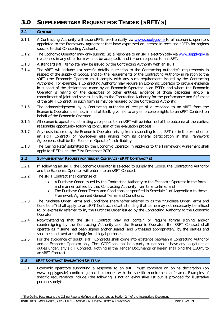# <span id="page-12-0"></span>**3.0 SUPPLEMENTARY REQUEST FOR TENDER (SRFT/S)**

# <span id="page-12-1"></span>**3.1 GENERAL**

- 3.1.1 A Contracting Authority will issue sRFTs electronically via [www.supplygov.ie](http://www.supplygov.ie/) to all economic operators appointed to the Framework Agreement that have expressed an interest in receiving sRFTs for regions specific to that Contracting Authority.
- 3.1.2 The Economic Operator may only submit: (a) a response to an sRFT electronically via www.supplygov.je (responses in any other form will not be accepted); and (b) one response to an sRFT.
- 3.1.3 A standard sRFT template may be issued by the Contracting Authority with an sRFT.
- 3.1.4 The sRFT will include: (a) specific details in relation to the Contracting Authority's requirements in respect of the supply of Goods; and (b) the requirements of the Contracting Authority in relation to the sRFT (the Economic Operator must comply with any such requirements issued by the Contracting Authority). For example, a Contracting Authority may require an Economic Operator to provide evidence in support of the declarations made by an Economic Operator in an ESPD; and where the Economic Operator is relying on the capacities of other entities, evidence of those capacities and/or a commitment of joint and several liability to the Contracting Authority for the performance and fulfilment of the SRFT Contract (in such form as may be required by the Contracting Authority).
- 3.1.5 The acknowledgement by a Contracting Authority of receipt of a response to an sRFT from the Economic Operator shall not, in and of itself, give rise to any enforceable rights to an sRFT Contract on behalf of the Economic Operator.
- 3.1.6 All economic operators submitting a response to an sRFT will be informed of the outcome at the earliest reasonable opportunity following conclusion of the evaluation process.
- 3.1.7 Any costs incurred by the Economic Operator arising from responding to an sRFT (or in the execution of an sRFT Contract) or howsoever else arising from its general participation in this Framework Agreement, shall be the Economic Operator's sole liability.
- 3.[1](#page-12-4).8 The Ceiling Rate<sup>1</sup> submitted by the Economic Operator in applying to the Framework Agreement shall apply to sRFTs until the 31st December 2020.

# <span id="page-12-2"></span>**3.2 SUPPLEMENTARY REQUEST FOR TENDER CONTRACT (SRFT CONTRACT/S)**

- 3.2.1 If, following an sRFT, the Economic Operator is selected to supply the Goods, the Contracting Authority and the Economic Operator will enter into an sRFT Contract.
- 3.2.2 The sRFT Contract shall comprise of:
	- A Purchase Order issued by the Contracting Authority to the Economic Operator in the form and manner utilised by that Contracting Authority from time to time; and
	- The Purchase Order Terms and Conditions as specified in Schedule 1 of Appendix A to these Framework Agreement General Terms and Conditions.
- 3.2.3 The Purchase Order Terms and Conditions (hereinafter referred to as the "Purchase Order Terms and Conditions") shall apply to an sRFT Contract notwithstanding that same may not necessarily be affixed to, or expressly referred to in, the Purchase Order issued by the Contracting Authority to the Economic Operator.
- 3.2.4 Notwithstanding that the sRFT Contract may not contain or require formal signing and/or countersigning by the Contracting Authority and the Economic Operator, the SRFT Contract shall operate as if same had been signed and/or sealed (and witnessed appropriately) by the parties and shall be construed accordingly for all legal purposes.
- 3.2.5 For the avoidance of doubt, sRFT Contracts shall come into existence between a Contracting Authority and an Economic Operator only. The LGOPC shall not be a party to, nor shall it have any obligations or duties under, any sRFT Contract. Nothing in the Tender Documents or herein shall bind the LGOPC to an sRFT Contract.

# <span id="page-12-3"></span>**3.3 SRFT CONTRACT EVALUATION CRITERIA**

3.3.1 Economic operators submitting a response to an sRFT must complete an online declaration (on www.supplygov.ie) confirming that it complies with the specific requirements of same. Examples of specific requirements include (the following is not an exhaustive list but is provided for illustrative purposes only):

<span id="page-12-4"></span><sup>1</sup> The Ceiling Rate means the Ceiling Rate as defined and described at Section 2.4 of the Instructions Document

ROAD SIGNS & ANCILLARIES (SUPPLY ONLY) – APPENDIX A - GENERAL TERMS & CONDITIONS PAGE **13** OF **19**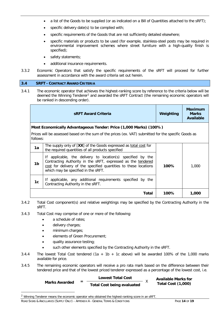- <span id="page-13-1"></span>a list of the Goods to be supplied (or as indicated on a Bill of Quantities attached to the sRFT);
- specific delivery date(s) to be complied with;
- specific requirements of the Goods that are not sufficiently detailed elsewhere;
- specific materials or products to be used (for example, stainless-steel posts may be required in environmental improvement schemes where street furniture with a high-quality finish is specified);
- safety statements;
- additional insurance requirements.
- 3.3.2 Economic Operators that satisfy the specific requirements of the sRFT will proceed for further assessment in accordance with the award criteria set out herein.

# <span id="page-13-0"></span>**3.4 SRFT - CONTRACT AWARD CRITERIA**

3.4.1 The economic operator that achieves the highest-ranking score by reference to the criteria below will be deemed the Winning Tenderer<sup>[2](#page-13-2)</sup> and awarded the sRFT Contract (the remaining economic operators will be ranked in descending order).

|                                                                                                                  | <b>SRFT Award Criteria</b>                                                                                                                                                                                                             | Weighting | <b>Maximum</b><br><b>Marks</b><br>Available |  |
|------------------------------------------------------------------------------------------------------------------|----------------------------------------------------------------------------------------------------------------------------------------------------------------------------------------------------------------------------------------|-----------|---------------------------------------------|--|
|                                                                                                                  | Most Economically Advantageous Tender: Price (1,000 Marks) (100%)                                                                                                                                                                      |           |                                             |  |
| Prices will be assessed based on the sum of the prices (ex. VAT) submitted for the specific Goods as<br>follows: |                                                                                                                                                                                                                                        |           |                                             |  |
| 1a                                                                                                               | The supply only of [XX] of the Goods expressed as total cost for<br>the required quantities of all products specified                                                                                                                  |           |                                             |  |
| 1 <sub>b</sub>                                                                                                   | If applicable, the delivery to location(s) specified by the<br>Contracting Authority in the sRFT, expressed as the tendered<br>cost for delivery of the specified quantities to these locations<br>which may be specified in the sRFT. | 100%      | 1.000                                       |  |
| 1c                                                                                                               | applicable, any additional requirements specified by the<br>It<br>Contracting Authority in the sRFT.                                                                                                                                   |           |                                             |  |
|                                                                                                                  | Total                                                                                                                                                                                                                                  | 100%      | 1,000                                       |  |

- 3.4.2 Total Cost component(s) and relative weightings may be specified by the Contracting Authority in the sRFT.
- 3.4.3 Total Cost may comprise of one or more of the following:
	- a schedule of rates;
	- delivery charges;
	- minimum charges;
	- elements of Green Procurement;
	- quality assurance testing;
	- such other elements specified by the Contracting Authority in the sRFT.
- 3.4.4 The lowest Total Cost tendered (1a + 1b + 1c above) will be awarded 100% of the 1,000 marks available for price.
- 3.4.5 The remaining economic operators will receive a pro rata mark based on the difference between their tendered price and that of the lowest priced tenderer expressed as a percentage of the lowest cost, i.e.

# **Marks Awarded <sup>=</sup> Lowest Total Cost Total Cost being evaluated**

<sup>X</sup> **Available Marks for** 

ROAD SIGNS & ANCILLARIES (SUPPLY ONLY) – APPENDIX A - GENERAL TERMS & CONDITIONS PAGE **14** OF **19**

<span id="page-13-2"></span><sup>&</sup>lt;sup>2</sup> Winning Tenderer means the economic operator who obtained the highest-ranking score in an sRFT.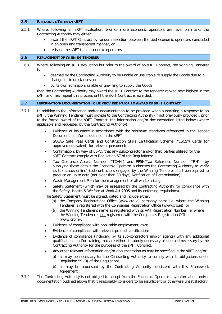# <span id="page-14-2"></span>**3.5 BREAKING A TIE IN AN SRFT**

- 3.5.1 Where, following an sRFT evaluation, two or more economic operators are level on marks the Contracting Authority may either:
	- award the sRFT Contract by random selection between the tied economic operators concluded in an open and transparent manner, or
	- re-issue the sRFT to all economic operators.

#### <span id="page-14-0"></span>**3.6 REPLACEMENT OF WINNING TENDERER**

- 3.6.1 Where, following an sRFT evaluation but prior to the award of an sRFT Contract, the Winning Tenderer is:
	- deemed by the Contracting Authority to be unable or unsuitable to supply the Goods due to a change in circumstances; or
	- by its own admission, unable or unwilling to supply the Goods

then the Contracting Authority may award the sRFT Contract to the tenderer ranked next highest in the sRFT and may repeat this process until the sRFT Contract is awarded.

## <span id="page-14-1"></span>**3.7 INFORMATION/DOCUMENTATION TO BE PROVIDED PRIOR TO AWARD OF SRFT CONTRACT**

- 3.7.1 In addition to the information and/or documentation to be provided when submitting a response to an sRFT, the Winning Tenderer must provide to the Contracting Authority (if not previously provided), prior to the formal award of the sRFT Contract, the information and/or documentation listed below (where applicable and requested by the Contracting Authority):
	- Evidence of insurance in accordance with the minimum standards referenced in the Tender Documents and/or as outlined in the sRFT;
	- SOLAS Safe Pass Cards and Construction Skills Certification Scheme ("CSCS") Cards (or approved equivalent) for relevant personnel;
	- Confirmation, by way of ESPD, that any subcontractor and/or third parties utilised for the sRFT Contract comply with Regulation 57 of the Regulations;
	- Tax Clearance Access Number ("TCAN") and PPSN/Tax Reference Number (TRN") (by supplying these details the Economic Operator authorises the Contracting Authority to verify its tax status online) (subcontractors engaged by the Winning Tenderer shall be required to produce an up to date (not older than 30 days) Notification of Determination);
	- Waste Management Plan for the management of all waste arising;
	- Safety Statement (which may be assessed by the Contracting Authority for compliance with the Safety, Health & Welfare at Work Act 2005 and its enforcing regulations).

The Safety Statement must be signed, dated and include either:

- (a) the Company Registrations Office [\(www.cro.ie\)](http://www.cro.ie/) company name i.e. where the Winning Tenderer is registered with the Companies Registration Office [\(www.cro.ie\)](http://www.cro.ie/); or
- (b) the Winning Tenderer's name as registered with its VAT Registration Number i.e. where the Winning Tenderer is not registered with the Companies Registration Office [\(www.cro.ie\)](http://www.cro.ie/).
- Evidence of compliance with applicable employment laws;
- Evidence of compliance with relevant product certification;
- Evidence of compliance (including by its sub-contractors and/or agents) with any additional qualifications and/or training that are either statutorily necessary or deemed necessary by the Contracting Authority for the purposes of the sRFT Contract.
- Any other relevant information and/or documentation as may be specified in the sRFT and/or:
	- (a) as may be necessary for the Contracting Authority to comply with its obligations under Regulation 59 (9) of the Regulations;
	- (b) as may be requested by the Contracting Authority consistent with this Framework Agreement.
- 3.7.2 The Contracting Authority is not obliged to accept from the Economic Operator any information and/or documentation outlined above that it reasonably considers to be insufficient or otherwise unsatisfactory.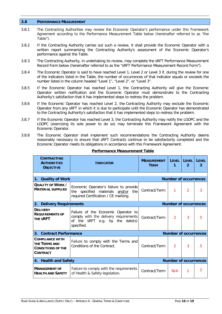## **3.8 PERFORMANCE MEASUREMENT**

- 3.8.1 The Contracting Authorities may review the Economic Operator's performance under this Framework Agreement according to the Performance Measurement Table below (hereinafter referred to as "the Table").
- 3.8.2 If the Contracting Authority carries out such a review, it shall provide the Economic Operator with a written report summarising the Contracting Authority's assessment of the Economic Operator's performance against the Table.
- 3.8.3 The Contracting Authority, in undertaking its review, may complete the sRFT Performance Measurement Record Form below (hereinafter referred to as the "sRFT Performance Measurement Record Form").
- 3.8.4 The Economic Operator is said to have reached Level 1, Level 2 or Level 3 if, during the review for one of the indicators listed in the Table, the number of occurrences of that indicator equals or exceeds the number listed in the column headed "Level 1", "Level 2", or "Level 3".
- 3.8.5 If the Economic Operator has reached Level 1, the Contracting Authority will give the Economic Operator written notification and the Economic Operator must demonstrate to the Contracting Authority's satisfaction that it has implemented steps to redress the problem.
- 3.8.6 If the Economic Operator has reached Level 2, the Contracting Authority may exclude the Economic Operator from any sRFT in which it is due to participate until the Economic Operator has demonstrated to the Contracting Authority's satisfaction that it has implemented steps to redress the problem.
- 3.8.7 If the Economic Operator has reached Level 3, the Contracting Authority may notify the LGOPC and the LGOPC (exercising its sole power to do so) may terminate this Framework Agreement with the Economic Operator.
- 3.8.8 The Economic Operator shall implement such recommendations the Contracting Authority deems reasonably necessary to ensure that sRFT Contracts continue to be satisfactorily completed and the Economic Operator meets its obligations in accordance with this Framework Agreement.

| <b>CONTRACTING</b><br><b>AUTHORITIES</b><br><b>OBJECTIVE</b>                           | <b>INDICATOR</b>                                                                                                              | <b>MEASUREMENT</b><br><b>TERM</b> | <b>LEVEL</b><br>1            | <b>LEVEL</b><br>$\overline{2}$ | <b>LEVEL</b><br>3 |
|----------------------------------------------------------------------------------------|-------------------------------------------------------------------------------------------------------------------------------|-----------------------------------|------------------------------|--------------------------------|-------------------|
|                                                                                        |                                                                                                                               |                                   |                              |                                |                   |
| 1.<br><b>Quality of Work</b>                                                           |                                                                                                                               |                                   | <b>Number of occurrences</b> |                                |                   |
| <b>QUALITY OF WORK /</b><br><b>MATERIAL SUPPLIED</b>                                   | Economic Operator's failure to provide<br>the specified materials and/or<br>the<br>required Certification / CE marking.       | Contract/Term                     | 1                            | $\overline{2}$                 | 3                 |
|                                                                                        | 2. Delivery Requirements<br><b>Number of occurrences</b>                                                                      |                                   |                              |                                |                   |
| <b>DELIVERY</b><br><b>REQUIREMENTS OF</b><br>THE SRFT                                  | Failure of the Economic Operator to<br>comply with the delivery requirements<br>of the sRFT e.g. by the date(s)<br>specified. | Contract/Term                     | $\mathcal{P}$                | 3                              | 5                 |
| 3 <sub>1</sub><br><b>Contract Performance</b><br><b>Number of occurrences</b>          |                                                                                                                               |                                   |                              |                                |                   |
| <b>COMPLIANCE WITH</b><br>THE TERMS AND<br><b>CONDITIONS OF THE</b><br><b>CONTRACT</b> | Failure to comply with the Terms and<br>Conditions of the Contract.                                                           | Contract/Term                     | $\mathcal{P}$                | 3                              | 5                 |
| 4. Health and Safety                                                                   |                                                                                                                               |                                   | <b>Number of occurrences</b> |                                |                   |
| <b>MANAGEMENT OF</b><br><b>HEALTH AND SAFETY</b>                                       | Failure to comply with the requirements<br>of Health & Safety legislation.                                                    | Contract/Term                     | N/A                          | 1                              | 2                 |

# **Performance Measurement Table**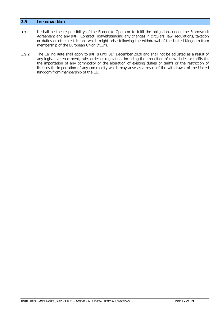# <span id="page-16-0"></span>**3.9 IMPORTANT NOTE**

- 3.9.1 It shall be the responsibility of the Economic Operator to fulfil the obligations under the Framework Agreement and any sRFT Contract, notwithstanding any changes in circulars, law, regulations, taxation or duties or other restrictions which might arise following the withdrawal of the United Kingdom from membership of the European Union ("EU").
- 3.9.2 The Ceiling Rate shall apply to sRFTs until 31<sup>st</sup> December 2020 and shall not be adjusted as a result of any legislative enactment, rule, order or regulation, including the imposition of new duties or tariffs for the importation of any commodity or the alteration of existing duties or tariffs or the restriction of licenses for importation of any commodity which may arise as a result of the withdrawal of the United Kingdom from membership of the EU.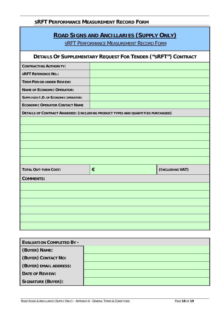<span id="page-17-0"></span>

|--|

# **ROAD SIGNS AND ANCILLARIES (SUPPLY ONLY)**

SRFT PERFORMANCE MEASUREMENT RECORD FORM

# **DETAILS OF SUPPLEMENTARY REQUEST FOR TENDER ("SRFT") CONTRACT**

| <b>CONTRACTING AUTHORITY:</b>                                                   |   |                 |  |  |  |
|---------------------------------------------------------------------------------|---|-----------------|--|--|--|
| <b>SRFT REFERENCE NO.:</b>                                                      |   |                 |  |  |  |
| <b>TERM PERIOD UNDER REVIEW:</b>                                                |   |                 |  |  |  |
| <b>NAME OF ECONOMIC OPERATOR:</b>                                               |   |                 |  |  |  |
| <b>SUPPLYGOV I.D. OF ECONOMIC OPERATOR:</b>                                     |   |                 |  |  |  |
| <b>ECONOMIC OPERATOR CONTACT NAME</b>                                           |   |                 |  |  |  |
| DETAILS OF CONTRACT AWARDED: (INCLUDING PRODUCT TYPES AND QUANTITIES PURCHASED) |   |                 |  |  |  |
|                                                                                 |   |                 |  |  |  |
|                                                                                 |   |                 |  |  |  |
|                                                                                 |   |                 |  |  |  |
|                                                                                 |   |                 |  |  |  |
|                                                                                 |   |                 |  |  |  |
|                                                                                 |   |                 |  |  |  |
| <b>TOTAL OUT-TURN COST:</b>                                                     | € | (INCLUDING VAT) |  |  |  |
| <b>COMMENTS:</b>                                                                |   |                 |  |  |  |
|                                                                                 |   |                 |  |  |  |
|                                                                                 |   |                 |  |  |  |
|                                                                                 |   |                 |  |  |  |
|                                                                                 |   |                 |  |  |  |
|                                                                                 |   |                 |  |  |  |
|                                                                                 |   |                 |  |  |  |

| <b>EVALUATION COMPLETED BY -</b> |  |  |
|----------------------------------|--|--|
| (BUYER) NAME:                    |  |  |
| (BUYER) CONTACT NO:              |  |  |
| (BUYER) EMAIL ADDRESS:           |  |  |
| <b>DATE OF REVIEW:</b>           |  |  |
| <b>SIGNATURE (BUYER):</b>        |  |  |